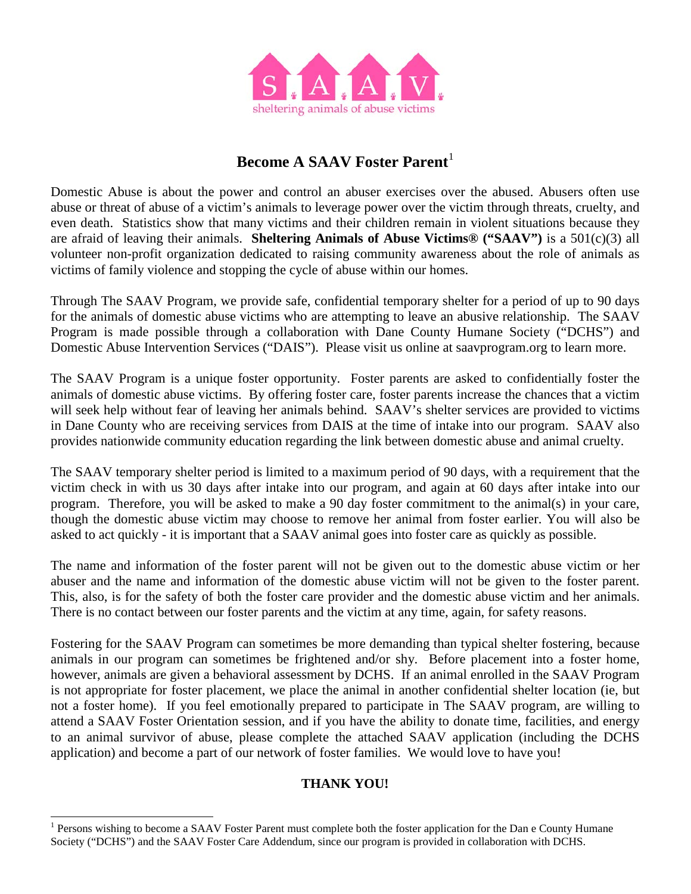

# **Become A SAAV Foster Parent**<sup>[1](#page-0-0)</sup>

Domestic Abuse is about the power and control an abuser exercises over the abused. Abusers often use abuse or threat of abuse of a victim's animals to leverage power over the victim through threats, cruelty, and even death. Statistics show that many victims and their children remain in violent situations because they are afraid of leaving their animals. **Sheltering Animals of Abuse Victims® ("SAAV")** is a 501(c)(3) all volunteer non-profit organization dedicated to raising community awareness about the role of animals as victims of family violence and stopping the cycle of abuse within our homes.

Through The SAAV Program, we provide safe, confidential temporary shelter for a period of up to 90 days for the animals of domestic abuse victims who are attempting to leave an abusive relationship. The SAAV Program is made possible through a collaboration with Dane County Humane Society ("DCHS") and Domestic Abuse Intervention Services ("DAIS"). Please visit us online at saavprogram.org to learn more.

The SAAV Program is a unique foster opportunity. Foster parents are asked to confidentially foster the animals of domestic abuse victims. By offering foster care, foster parents increase the chances that a victim will seek help without fear of leaving her animals behind. SAAV's shelter services are provided to victims in Dane County who are receiving services from DAIS at the time of intake into our program. SAAV also provides nationwide community education regarding the link between domestic abuse and animal cruelty.

The SAAV temporary shelter period is limited to a maximum period of 90 days, with a requirement that the victim check in with us 30 days after intake into our program, and again at 60 days after intake into our program. Therefore, you will be asked to make a 90 day foster commitment to the animal(s) in your care, though the domestic abuse victim may choose to remove her animal from foster earlier. You will also be asked to act quickly - it is important that a SAAV animal goes into foster care as quickly as possible.

The name and information of the foster parent will not be given out to the domestic abuse victim or her abuser and the name and information of the domestic abuse victim will not be given to the foster parent. This, also, is for the safety of both the foster care provider and the domestic abuse victim and her animals. There is no contact between our foster parents and the victim at any time, again, for safety reasons.

Fostering for the SAAV Program can sometimes be more demanding than typical shelter fostering, because animals in our program can sometimes be frightened and/or shy. Before placement into a foster home, however, animals are given a behavioral assessment by DCHS. If an animal enrolled in the SAAV Program is not appropriate for foster placement, we place the animal in another confidential shelter location (ie, but not a foster home). If you feel emotionally prepared to participate in The SAAV program, are willing to attend a SAAV Foster Orientation session, and if you have the ability to donate time, facilities, and energy to an animal survivor of abuse, please complete the attached SAAV application (including the DCHS application) and become a part of our network of foster families. We would love to have you!

### **THANK YOU!**

<span id="page-0-0"></span><sup>&</sup>lt;sup>1</sup> Persons wishing to become a SAAV Foster Parent must complete both the foster application for the Dan e County Humane Society ("DCHS") and the SAAV Foster Care Addendum, since our program is provided in collaboration with DCHS.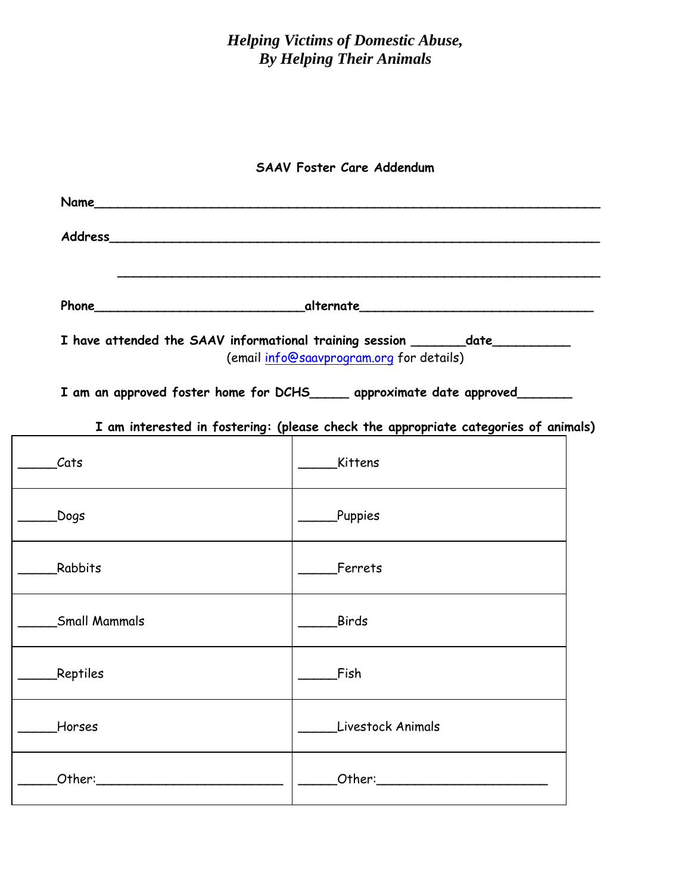# *Helping Victims of Domestic Abuse, By Helping Their Animals*

## **SAAV Foster Care Addendum**

|                                                                                                                | <b>Name Name <i>Name Name</i></b>                                                                                           |  |  |  |
|----------------------------------------------------------------------------------------------------------------|-----------------------------------------------------------------------------------------------------------------------------|--|--|--|
|                                                                                                                |                                                                                                                             |  |  |  |
|                                                                                                                |                                                                                                                             |  |  |  |
|                                                                                                                | I have attended the SAAV informational training session ________date___________<br>(email info@saavprogram.org for details) |  |  |  |
|                                                                                                                | I am an approved foster home for DCHS_____ approximate date approved______                                                  |  |  |  |
|                                                                                                                | I am interested in fostering: (please check the appropriate categories of animals)                                          |  |  |  |
| Cats                                                                                                           | Kittens                                                                                                                     |  |  |  |
| Dogs.                                                                                                          | <b>Puppies</b>                                                                                                              |  |  |  |
| Rabbits                                                                                                        | Ferrets                                                                                                                     |  |  |  |
| <b>Small Mammals</b>                                                                                           | <b>Birds</b>                                                                                                                |  |  |  |
| <b>Reptiles</b>                                                                                                | Fish                                                                                                                        |  |  |  |
| Horses                                                                                                         | Livestock Animals                                                                                                           |  |  |  |
| Other: University of the University of the University of the University of the University of the University of | Other: 2008                                                                                                                 |  |  |  |